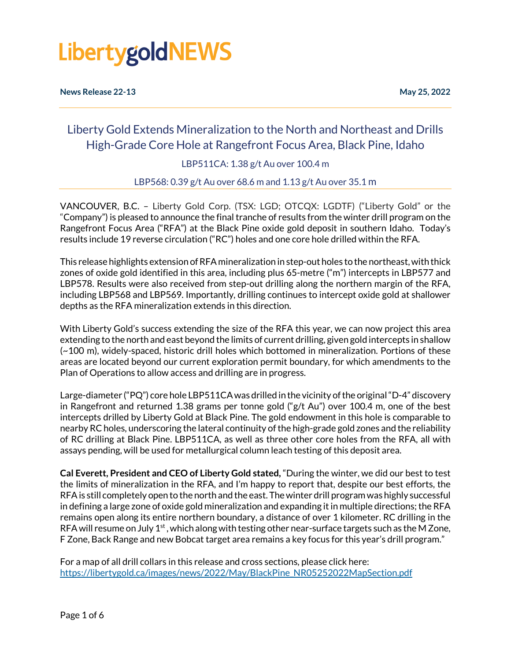**News Release 22-13 May 25, 2022**

### Liberty Gold Extends Mineralization to the North and Northeast and Drills High-Grade Core Hole at Rangefront Focus Area, Black Pine, Idaho

LBP511CA: 1.38 g/t Au over 100.4 m

LBP568: 0.39 g/t Au over 68.6 m and 1.13 g/t Au over 35.1 m

VANCOUVER, B.C. – Liberty Gold Corp. (TSX: LGD; OTCQX: LGDTF) ("Liberty Gold" or the "Company") is pleased to announce the final tranche of results from the winter drill program on the Rangefront Focus Area ("RFA") at the Black Pine oxide gold deposit in southern Idaho. Today's results include 19 reverse circulation ("RC") holes and one core hole drilled within the RFA.

This release highlights extension of RFA mineralization in step-out holes to the northeast, with thick zones of oxide gold identified in this area, including plus 65-metre ("m") intercepts in LBP577 and LBP578. Results were also received from step-out drilling along the northern margin of the RFA, including LBP568 and LBP569. Importantly, drilling continues to intercept oxide gold at shallower depths as the RFA mineralization extends in this direction.

With Liberty Gold's success extending the size of the RFA this year, we can now project this area extending to the north and east beyond the limits of current drilling, given gold intercepts in shallow (~100 m), widely-spaced, historic drill holes which bottomed in mineralization. Portions of these areas are located beyond our current exploration permit boundary, for which amendments to the Plan of Operations to allow access and drilling are in progress.

Large-diameter ("PQ") core hole LBP511CA was drilled in the vicinity of the original "D-4" discovery in Rangefront and returned 1.38 grams per tonne gold ("g/t Au") over 100.4 m, one of the best intercepts drilled by Liberty Gold at Black Pine. The gold endowment in this hole is comparable to nearby RC holes, underscoring the lateral continuity of the high-grade gold zones and the reliability of RC drilling at Black Pine. LBP511CA, as well as three other core holes from the RFA, all with assays pending, will be used for metallurgical column leach testing of this deposit area.

**Cal Everett, President and CEO of Liberty Gold stated,** "During the winter, we did our best to test the limits of mineralization in the RFA, and I'm happy to report that, despite our best efforts, the RFA is still completely open to the north and the east. The winter drill program was highly successful in defining a large zone of oxide gold mineralization and expanding it in multiple directions; the RFA remains open along its entire northern boundary, a distance of over 1 kilometer. RC drilling in the RFA will resume on July 1<sup>st</sup>, which along with testing other near-surface targets such as the M Zone, F Zone, Back Range and new Bobcat target area remains a key focus for this year's drill program."

For a map of all drill collars in this release and cross sections, please click here: [https://libertygold.ca/images/news/2022/May/BlackPine\\_NR05252022MapSection.pdf](https://libertygold.ca/images/news/2022/May/BlackPine_NR05252022MapSection.pdf)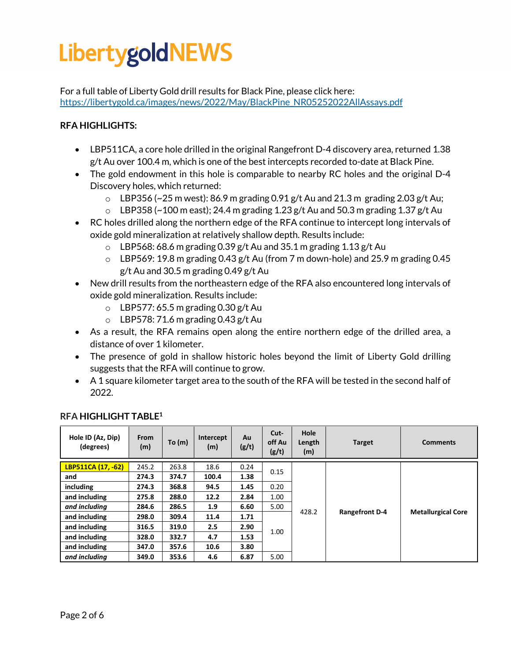For a full table of Liberty Gold drill results for Black Pine, please click here: [https://libertygold.ca/images/news/2022/May/BlackPine\\_NR05252022AllAssays.pdf](https://libertygold.ca/images/news/2022/May/BlackPine_NR05252022AllAssays.pdf)

#### **RFA HIGHLIGHTS:**

- LBP511CA, a core hole drilled in the original Rangefront D-4 discovery area, returned 1.38 g/t Au over 100.4 m, which is one of the best intercepts recorded to-date at Black Pine.
- The gold endowment in this hole is comparable to nearby RC holes and the original D-4 Discovery holes, which returned:
	- $\circ$  LBP356 (~25 m west): 86.9 m grading 0.91 g/t Au and 21.3 m grading 2.03 g/t Au;
	- $\circ$  LBP358 (~100 m east); 24.4 m grading 1.23 g/t Au and 50.3 m grading 1.37 g/t Au
- RC holes drilled along the northern edge of the RFA continue to intercept long intervals of oxide gold mineralization at relatively shallow depth. Results include:
	- $\circ$  LBP568: 68.6 m grading 0.39 g/t Au and 35.1 m grading 1.13 g/t Au
	- $\circ$  LBP569: 19.8 m grading 0.43 g/t Au (from 7 m down-hole) and 25.9 m grading 0.45 g/t Au and 30.5 m grading 0.49 g/t Au
- New drill results from the northeastern edge of the RFA also encountered long intervals of oxide gold mineralization. Results include:
	- $\circ$  LBP577: 65.5 m grading 0.30 g/t Au
	- $\circ$  LBP578: 71.6 m grading 0.43 g/t Au
- As a result, the RFA remains open along the entire northern edge of the drilled area, a distance of over 1 kilometer.
- The presence of gold in shallow historic holes beyond the limit of Liberty Gold drilling suggests that the RFA will continue to grow.
- A 1 square kilometer target area to the south of the RFA will be tested in the second half of 2022.

| Hole ID (Az, Dip)<br>(degrees) | From<br>(m) | To $(m)$ | Intercept<br>(m) | Au<br>(g/t) | Cut-<br>off Au<br>(g/t) | Hole<br>Length<br>(m) | <b>Target</b>         | <b>Comments</b>           |
|--------------------------------|-------------|----------|------------------|-------------|-------------------------|-----------------------|-----------------------|---------------------------|
| LBP511CA (17, -62)             | 245.2       | 263.8    | 18.6             | 0.24        |                         | 428.2                 | <b>Rangefront D-4</b> | <b>Metallurgical Core</b> |
| and                            | 274.3       | 374.7    | 100.4            | 1.38        | 0.15                    |                       |                       |                           |
| including                      | 274.3       | 368.8    | 94.5             | 1.45        | 0.20                    |                       |                       |                           |
| and including                  | 275.8       | 288.0    | 12.2             | 2.84        | 1.00                    |                       |                       |                           |
| and including                  | 284.6       | 286.5    | 1.9              | 6.60        | 5.00                    |                       |                       |                           |
| and including                  | 298.0       | 309.4    | 11.4             | 1.71        | 1.00                    |                       |                       |                           |
| and including                  | 316.5       | 319.0    | 2.5              | 2.90        |                         |                       |                       |                           |
| and including                  | 328.0       | 332.7    | 4.7              | 1.53        |                         |                       |                       |                           |
| and including                  | 347.0       | 357.6    | 10.6             | 3.80        |                         |                       |                       |                           |
| and including                  | 349.0       | 353.6    | 4.6              | 6.87        | 5.00                    |                       |                       |                           |

#### **RFA HIGHLIGHT TABLE1**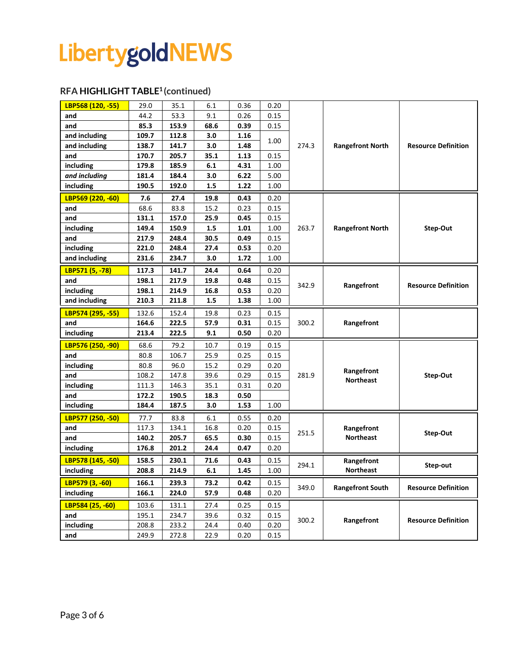#### **RFA HIGHLIGHT TABLE1 (continued)**

| LBP568 (120, -55) | 29.0  | 35.1  | 6.1  | 0.36 | 0.20 |       |                                  |                            |
|-------------------|-------|-------|------|------|------|-------|----------------------------------|----------------------------|
| and               | 44.2  | 53.3  | 9.1  | 0.26 | 0.15 | 274.3 | <b>Rangefront North</b>          | <b>Resource Definition</b> |
| and               | 85.3  | 153.9 | 68.6 | 0.39 | 0.15 |       |                                  |                            |
| and including     | 109.7 | 112.8 | 3.0  | 1.16 | 1.00 |       |                                  |                            |
| and including     | 138.7 | 141.7 | 3.0  | 1.48 |      |       |                                  |                            |
| and               | 170.7 | 205.7 | 35.1 | 1.13 | 0.15 |       |                                  |                            |
| including         | 179.8 | 185.9 | 6.1  | 4.31 | 1.00 |       |                                  |                            |
| and including     | 181.4 | 184.4 | 3.0  | 6.22 | 5.00 |       |                                  |                            |
| including         | 190.5 | 192.0 | 1.5  | 1.22 | 1.00 |       |                                  |                            |
| LBP569 (220, -60) | 7.6   | 27.4  | 19.8 | 0.43 | 0.20 |       |                                  |                            |
| and               | 68.6  | 83.8  | 15.2 | 0.23 | 0.15 |       | <b>Rangefront North</b>          | Step-Out                   |
| and               | 131.1 | 157.0 | 25.9 | 0.45 | 0.15 |       |                                  |                            |
| including         | 149.4 | 150.9 | 1.5  | 1.01 | 1.00 | 263.7 |                                  |                            |
| and               | 217.9 | 248.4 | 30.5 | 0.49 | 0.15 |       |                                  |                            |
| including         | 221.0 | 248.4 | 27.4 | 0.53 | 0.20 |       |                                  |                            |
| and including     | 231.6 | 234.7 | 3.0  | 1.72 | 1.00 |       |                                  |                            |
| LBP571 (5, -78)   | 117.3 | 141.7 | 24.4 | 0.64 | 0.20 |       |                                  |                            |
| and               | 198.1 | 217.9 | 19.8 | 0.48 | 0.15 | 342.9 | Rangefront                       | <b>Resource Definition</b> |
| including         | 198.1 | 214.9 | 16.8 | 0.53 | 0.20 |       |                                  |                            |
| and including     | 210.3 | 211.8 | 1.5  | 1.38 | 1.00 |       |                                  |                            |
| LBP574 (295, -55) | 132.6 | 152.4 | 19.8 | 0.23 | 0.15 |       |                                  |                            |
| and               | 164.6 | 222.5 | 57.9 | 0.31 | 0.15 | 300.2 | Rangefront                       |                            |
| including         | 213.4 | 222.5 | 9.1  | 0.50 | 0.20 |       |                                  |                            |
| LBP576 (250, -90) | 68.6  | 79.2  | 10.7 | 0.19 | 0.15 |       |                                  |                            |
| and               | 80.8  | 106.7 | 25.9 | 0.25 | 0.15 |       | Rangefront<br><b>Northeast</b>   | Step-Out                   |
| including         | 80.8  | 96.0  | 15.2 | 0.29 | 0.20 |       |                                  |                            |
| and               | 108.2 | 147.8 | 39.6 | 0.29 | 0.15 | 281.9 |                                  |                            |
| including         | 111.3 | 146.3 | 35.1 | 0.31 | 0.20 |       |                                  |                            |
| and               | 172.2 | 190.5 | 18.3 | 0.50 |      |       |                                  |                            |
| including         | 184.4 | 187.5 | 3.0  | 1.53 | 1.00 |       |                                  |                            |
| LBP577 (250, -50) | 77.7  | 83.8  | 6.1  | 0.55 | 0.20 |       |                                  |                            |
| and               | 117.3 | 134.1 | 16.8 | 0.20 | 0.15 | 251.5 | Rangefront<br><b>Northeast</b>   | Step-Out                   |
| and               | 140.2 | 205.7 | 65.5 | 0.30 | 0.15 |       |                                  |                            |
| including         | 176.8 | 201.2 | 24.4 | 0.47 | 0.20 |       |                                  |                            |
| LBP578 (145, -50) | 158.5 | 230.1 | 71.6 | 0.43 | 0.15 | 294.1 | Rangefront                       | Step-out                   |
| including         | 208.8 | 214.9 | 6.1  | 1.45 | 1.00 |       | <b>Northeast</b>                 |                            |
| LBP579 (3, -60)   | 166.1 | 239.3 | 73.2 | 0.42 | 0.15 |       | 349.0<br><b>Rangefront South</b> | <b>Resource Definition</b> |
| including         | 166.1 | 224.0 | 57.9 | 0.48 | 0.20 |       |                                  |                            |
| LBP584 (25, -60)  | 103.6 | 131.1 | 27.4 | 0.25 | 0.15 |       |                                  | <b>Resource Definition</b> |
| and               | 195.1 | 234.7 | 39.6 | 0.32 | 0.15 |       |                                  |                            |
| including         | 208.8 | 233.2 | 24.4 | 0.40 | 0.20 | 300.2 | Rangefront                       |                            |
| and               | 249.9 | 272.8 | 22.9 | 0.20 | 0.15 |       |                                  |                            |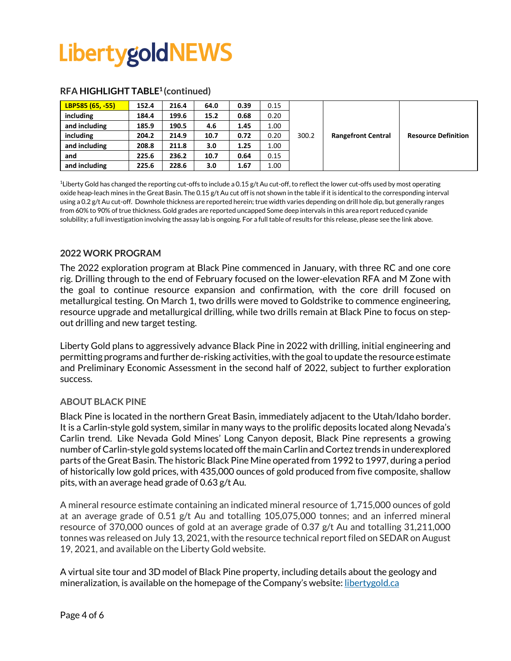| LBP585 (65, -55) | 152.4 | 216.4 | 64.0 | 0.39 | 0.15 |       |                           |                            |
|------------------|-------|-------|------|------|------|-------|---------------------------|----------------------------|
| including        | 184.4 | 199.6 | 15.2 | 0.68 | 0.20 |       |                           |                            |
| and including    | 185.9 | 190.5 | 4.6  | 1.45 | 1.00 |       |                           |                            |
| including        | 204.2 | 214.9 | 10.7 | 0.72 | 0.20 | 300.2 | <b>Rangefront Central</b> | <b>Resource Definition</b> |
| and including    | 208.8 | 211.8 | 3.0  | 1.25 | 1.00 |       |                           |                            |
| and              | 225.6 | 236.2 | 10.7 | 0.64 | 0.15 |       |                           |                            |
| and including    | 225.6 | 228.6 | 3.0  | 1.67 | 1.00 |       |                           |                            |

#### **RFA HIGHLIGHT TABLE1 (continued)**

<sup>1</sup>Liberty Gold has changed the reporting cut-offs to include a 0.15 g/t Au cut-off, to reflect the lower cut-offs used by most operating oxide heap-leach mines in the Great Basin. The 0.15 g/t Au cut off is not shown in the table if it is identical to the corresponding interval using a 0.2 g/t Au cut-off. Downhole thickness are reported herein; true width varies depending on drill hole dip, but generally ranges from 60% to 90% of true thickness. Gold grades are reported uncapped Some deep intervals in this area report reduced cyanide solubility; a full investigation involving the assay lab is ongoing. For a full table of results for this release, please see the link above.

#### **2022 WORK PROGRAM**

The 2022 exploration program at Black Pine commenced in January, with three RC and one core rig. Drilling through to the end of February focused on the lower-elevation RFA and M Zone with the goal to continue resource expansion and confirmation, with the core drill focused on metallurgical testing. On March 1, two drills were moved to Goldstrike to commence engineering, resource upgrade and metallurgical drilling, while two drills remain at Black Pine to focus on stepout drilling and new target testing.

Liberty Gold plans to aggressively advance Black Pine in 2022 with drilling, initial engineering and permitting programs and further de-risking activities, with the goal to update the resource estimate and Preliminary Economic Assessment in the second half of 2022, subject to further exploration success.

#### **ABOUT BLACK PINE**

Black Pine is located in the northern Great Basin, immediately adjacent to the Utah/Idaho border. It is a Carlin-style gold system, similar in many ways to the prolific deposits located along Nevada's Carlin trend. Like Nevada Gold Mines' Long Canyon deposit, Black Pine represents a growing number of Carlin-style gold systems located off the main Carlin and Cortez trends in underexplored parts of the Great Basin. The historic Black Pine Mine operated from 1992 to 1997, during a period of historically low gold prices, with 435,000 ounces of gold produced from five composite, shallow pits, with an average head grade of 0.63 g/t Au.

A mineral resource estimate containing an indicated mineral resource of 1,715,000 ounces of gold at an average grade of 0.51 g/t Au and totalling 105,075,000 tonnes; and an inferred mineral resource of 370,000 ounces of gold at an average grade of 0.37 g/t Au and totalling 31,211,000 tonnes was released on July 13, 2021, with the resource technical report filed on SEDAR on August 19, 2021, and available on the Liberty Gold website.

A virtual site tour and 3D model of Black Pine property, including details about the geology and mineralization, is available on the homepage of the Company's website: [libertygold.ca](https://libertygold.ca/)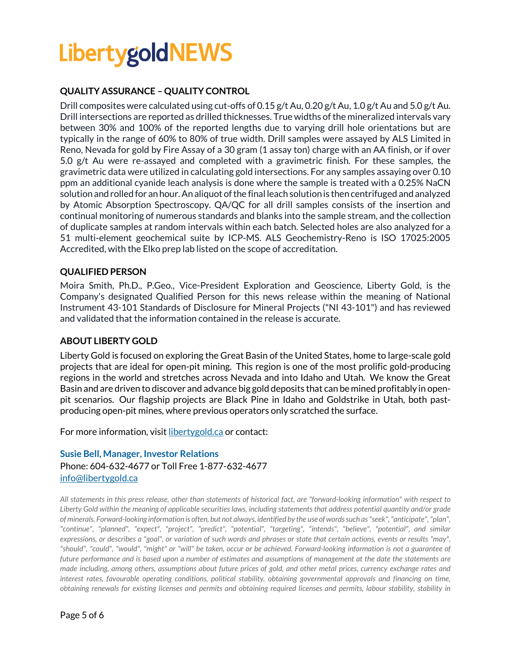#### **QUALITY ASSURANCE – QUALITY CONTROL**

Drill composites were calculated using cut-offs of 0.15 g/t Au, 0.20 g/t Au, 1.0 g/t Au and 5.0 g/t Au. Drill intersections are reported as drilled thicknesses. True widths of the mineralized intervals vary between 30% and 100% of the reported lengths due to varying drill hole orientations but are typically in the range of 60% to 80% of true width. Drill samples were assayed by ALS Limited in Reno, Nevada for gold by Fire Assay of a 30 gram (1 assay ton) charge with an AA finish, or if over 5.0 g/t Au were re-assayed and completed with a gravimetric finish. For these samples, the gravimetric data were utilized in calculating gold intersections. For any samples assaying over 0.10 ppm an additional cyanide leach analysis is done where the sample is treated with a 0.25% NaCN solution and rolled for an hour. An aliquot of the final leach solution is then centrifuged and analyzed by Atomic Absorption Spectroscopy. QA/QC for all drill samples consists of the insertion and continual monitoring of numerous standards and blanks into the sample stream, and the collection of duplicate samples at random intervals within each batch. Selected holes are also analyzed for a 51 multi-element geochemical suite by ICP-MS. ALS Geochemistry-Reno is ISO 17025:2005 Accredited, with the Elko prep lab listed on the scope of accreditation.

#### **QUALIFIED PERSON**

Moira Smith, Ph.D., P.Geo., Vice-President Exploration and Geoscience, Liberty Gold, is the Company's designated Qualified Person for this news release within the meaning of National Instrument 43-101 Standards of Disclosure for Mineral Projects ("NI 43-101") and has reviewed and validated that the information contained in the release is accurate.

#### **ABOUT LIBERTY GOLD**

Liberty Gold is focused on exploring the Great Basin of the United States, home to large-scale gold projects that are ideal for open-pit mining. This region is one of the most prolific gold-producing regions in the world and stretches across Nevada and into Idaho and Utah. We know the Great Basin and are driven to discover and advance big gold deposits that can be mined profitably in openpit scenarios. Our flagship projects are Black Pine in Idaho and Goldstrike in Utah, both pastproducing open-pit mines, where previous operators only scratched the surface.

For more information, visit [libertygold.ca](https://libertygold.ca/) or contact:

#### **Susie Bell, Manager, Investor Relations** Phone: 604-632-4677 or Toll Free 1-877-632-4677 [info@libertygold.ca](mailto:info@libertygold.ca)

*All statements in this press release, other than statements of historical fact, are "forward-looking information" with respect to Liberty Gold within the meaning of applicable securities laws, including statements that address potential quantity and/or grade of minerals. Forward-looking information is often, but not always, identified by the use of words such as "seek", "anticipate", "plan", "continue", "planned", "expect", "project", "predict", "potential", "targeting", "intends", "believe", "potential", and similar expressions, or describes a "goal", or variation of such words and phrases or state that certain actions, events or results "may", "should", "could", "would", "might" or "will" be taken, occur or be achieved. Forward-looking information is not a guarantee of future performance and is based upon a number of estimates and assumptions of management at the date the statements are made including, among others, assumptions about future prices of gold, and other metal prices, currency exchange rates and interest rates, favourable operating conditions, political stability, obtaining governmental approvals and financing on time, obtaining renewals for existing licenses and permits and obtaining required licenses and permits, labour stability, stability in*